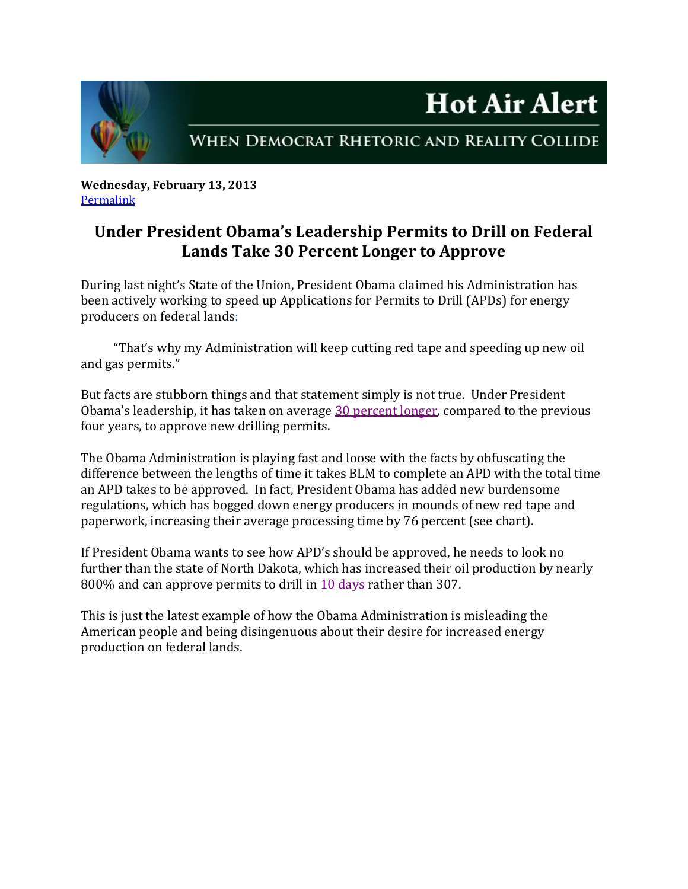

WHEN DEMOCRAT RHETORIC AND REALITY COLLIDE

**Hot Air Alert** 

**Wednesday, February 13, 2013** [Permalink](http://naturalresources.house.gov/news/documentsingle.aspx?DocumentID=319980)

## **Under President Obama's Leadership Permits to Drill on Federal Lands Take 30 Percent Longer to Approve**

During last night's State of the Union, President Obama claimed his Administration has been actively working to speed up Applications for Permits to Drill (APDs) for energy producers on federal lands:

 "That's why my Administration will keep cutting red tape and speeding up new oil and gas permits."

But facts are stubborn things and that statement simply is not true. Under President Obama's leadership, it has taken on average [30 percent longer,](http://www.blm.gov/wo/st/en/prog/energy/oil_and_gas/statistics/apd_chart.-WidePar-75121-Image.WideParimage.0.1.gif) compared to the previous four years, to approve new drilling permits.

The Obama Administration is playing fast and loose with the facts by obfuscating the difference between the lengths of time it takes BLM to complete an APD with the total time an APD takes to be approved. In fact, President Obama has added new burdensome regulations, which has bogged down energy producers in mounds of new red tape and paperwork, increasing their average processing time by 76 percent (see chart).

If President Obama wants to see how APD's should be approved, he needs to look no further than the state of North Dakota, which has increased their oil production by nearly 800% and can approve permits to drill in [10 days](http://www.instituteforenergyresearch.org/wp-content/uploads/2012/09/Time-required-to-drill-1-sm.png) rather than 307.

This is just the latest example of how the Obama Administration is misleading the American people and being disingenuous about their desire for increased energy production on federal lands.